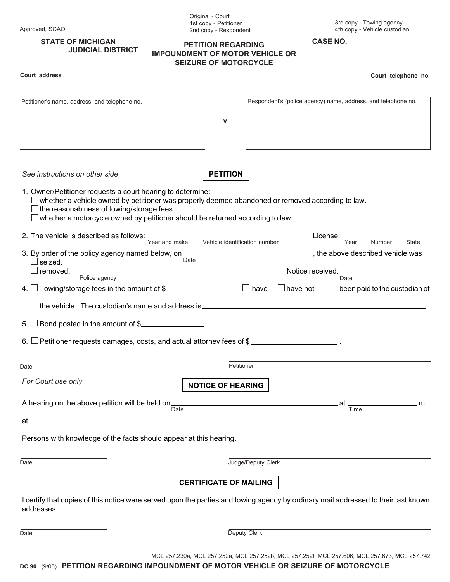| Approved, SCAO |
|----------------|
|----------------|

Original - Court 1st copy - Petitioner 2nd copy - Respondent

3rd copy - Towing agency 4th copy - Vehicle custodian

|                                                                                                                                                                                                                                                                                              |                                                                                                     | zna copy - respondent                                 |                 |                                                               |                               |
|----------------------------------------------------------------------------------------------------------------------------------------------------------------------------------------------------------------------------------------------------------------------------------------------|-----------------------------------------------------------------------------------------------------|-------------------------------------------------------|-----------------|---------------------------------------------------------------|-------------------------------|
| <b>STATE OF MICHIGAN</b><br><b>JUDICIAL DISTRICT</b>                                                                                                                                                                                                                                         | <b>PETITION REGARDING</b><br><b>IMPOUNDMENT OF MOTOR VEHICLE OR</b><br><b>SEIZURE OF MOTORCYCLE</b> |                                                       |                 | <b>CASE NO.</b>                                               |                               |
| Court address                                                                                                                                                                                                                                                                                |                                                                                                     |                                                       |                 |                                                               | Court telephone no.           |
| Petitioner's name, address, and telephone no.                                                                                                                                                                                                                                                |                                                                                                     | $\mathbf v$                                           |                 | Respondent's (police agency) name, address, and telephone no. |                               |
|                                                                                                                                                                                                                                                                                              |                                                                                                     |                                                       |                 |                                                               |                               |
| See instructions on other side                                                                                                                                                                                                                                                               |                                                                                                     | <b>PETITION</b>                                       |                 |                                                               |                               |
| 1. Owner/Petitioner requests a court hearing to determine:<br>whether a vehicle owned by petitioner was properly deemed abandoned or removed according to law.<br>the reasonablness of towing/storage fees.<br>whether a motorcycle owned by petitioner should be returned according to law. |                                                                                                     |                                                       |                 |                                                               |                               |
| 2. The vehicle is described as follows: $\frac{1}{\text{Year and make}}$ $\frac{1}{\text{Vehicle identification number}}$ License: $\frac{1}{\text{Year}}$                                                                                                                                   |                                                                                                     |                                                       |                 |                                                               | Number<br>State               |
| 3. By order of the policy agency named below, on $\frac{1}{\text{Date}}$ , the above described vehicle was<br>seized.<br>removed.                                                                                                                                                            |                                                                                                     | <u> 1989 - Johann Stoff, fransk politik (d. 1989)</u> |                 | Notice received:                                              |                               |
| Police agency<br>Towing/storage fees in the amount of \$ ___________________ □ have<br>4. ∟                                                                                                                                                                                                  |                                                                                                     |                                                       | $\Box$ have not | Date                                                          | been paid to the custodian of |
| Bond posted in the amount of \$<br>5. l                                                                                                                                                                                                                                                      |                                                                                                     |                                                       |                 |                                                               |                               |
| Petitioner requests damages, costs, and actual attorney fees of \$<br>6.                                                                                                                                                                                                                     |                                                                                                     |                                                       |                 |                                                               |                               |
| Date                                                                                                                                                                                                                                                                                         |                                                                                                     | Petitioner                                            |                 |                                                               |                               |
| For Court use only                                                                                                                                                                                                                                                                           |                                                                                                     | <b>NOTICE OF HEARING</b>                              |                 |                                                               |                               |
| A hearing on the above petition will be held on $\frac{1}{\text{Date}}$                                                                                                                                                                                                                      |                                                                                                     |                                                       |                 | at<br>Time                                                    | $\overline{\phantom{a}}$ m.   |
| at .                                                                                                                                                                                                                                                                                         |                                                                                                     |                                                       |                 |                                                               |                               |
| Persons with knowledge of the facts should appear at this hearing.                                                                                                                                                                                                                           |                                                                                                     |                                                       |                 |                                                               |                               |
| Date                                                                                                                                                                                                                                                                                         |                                                                                                     | Judge/Deputy Clerk                                    |                 |                                                               |                               |
|                                                                                                                                                                                                                                                                                              |                                                                                                     | <b>CERTIFICATE OF MAILING</b>                         |                 |                                                               |                               |
| I certify that copies of this notice were served upon the parties and towing agency by ordinary mail addressed to their last known<br>addresses.                                                                                                                                             |                                                                                                     |                                                       |                 |                                                               |                               |
| Date                                                                                                                                                                                                                                                                                         |                                                                                                     | Deputy Clerk                                          |                 |                                                               |                               |

MCL 257.230a, MCL 257.252a, MCL 257.252b, MCL 257.252f, MCL 257.606, MCL 257.673, MCL 257.742